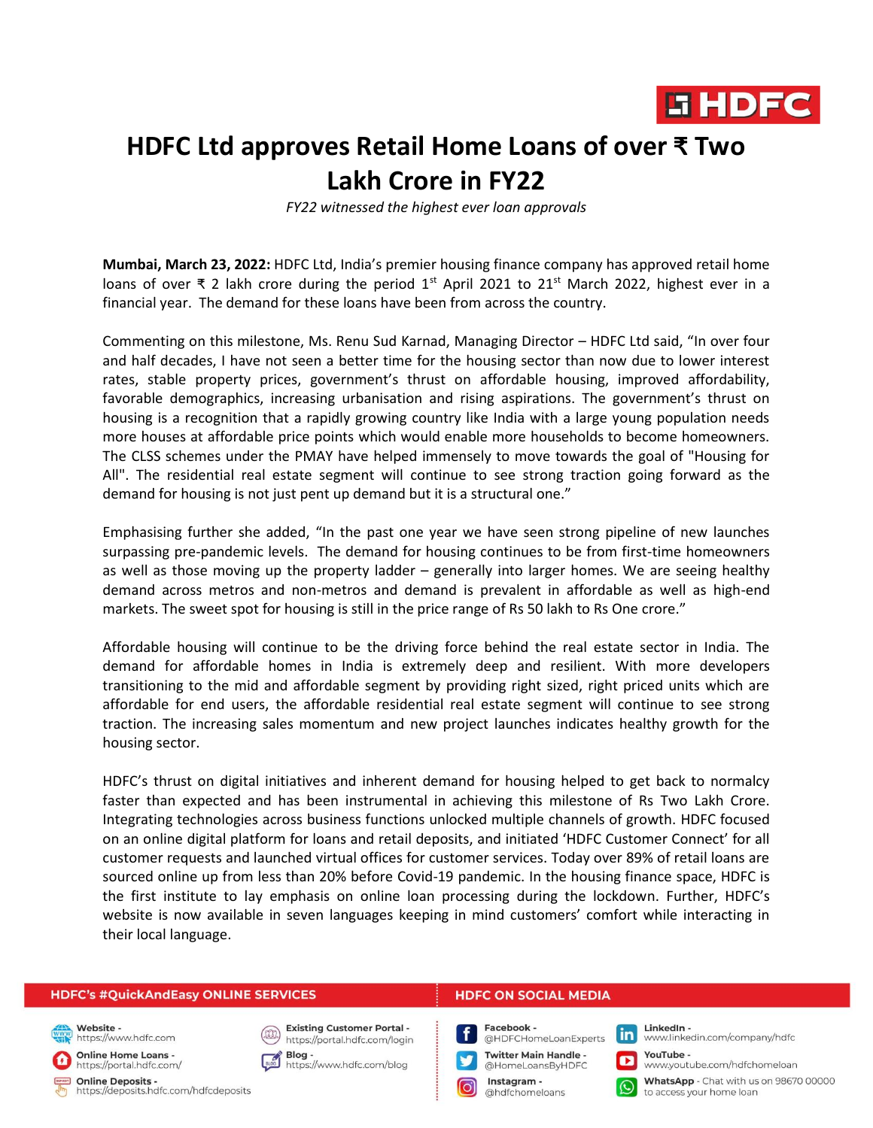

# **HDFC Ltd approves Retail Home Loans of over ₹ Two Lakh Crore in FY22**

*FY22 witnessed the highest ever loan approvals*

**Mumbai, March 23, 2022:** HDFC Ltd, India's premier housing finance company has approved retail home loans of over ₹ 2 lakh crore during the period 1<sup>st</sup> April 2021 to 21<sup>st</sup> March 2022, highest ever in a financial year. The demand for these loans have been from across the country.

Commenting on this milestone, Ms. Renu Sud Karnad, Managing Director – HDFC Ltd said, "In over four and half decades, I have not seen a better time for the housing sector than now due to lower interest rates, stable property prices, government's thrust on affordable housing, improved affordability, favorable demographics, increasing urbanisation and rising aspirations. The government's thrust on housing is a recognition that a rapidly growing country like India with a large young population needs more houses at affordable price points which would enable more households to become homeowners. The CLSS schemes under the PMAY have helped immensely to move towards the goal of "Housing for All". The residential real estate segment will continue to see strong traction going forward as the demand for housing is not just pent up demand but it is a structural one."

Emphasising further she added, "In the past one year we have seen strong pipeline of new launches surpassing pre-pandemic levels. The demand for housing continues to be from first-time homeowners as well as those moving up the property ladder – generally into larger homes. We are seeing healthy demand across metros and non-metros and demand is prevalent in affordable as well as high-end markets. The sweet spot for housing is still in the price range of Rs 50 lakh to Rs One crore."

Affordable housing will continue to be the driving force behind the real estate sector in India. The demand for affordable homes in India is extremely deep and resilient. With more developers transitioning to the mid and affordable segment by providing right sized, right priced units which are affordable for end users, the affordable residential real estate segment will continue to see strong traction. The increasing sales momentum and new project launches indicates healthy growth for the housing sector.

HDFC's thrust on digital initiatives and inherent demand for housing helped to get back to normalcy faster than expected and has been instrumental in achieving this milestone of Rs Two Lakh Crore. Integrating technologies across business functions unlocked multiple channels of growth. HDFC focused on an online digital platform for loans and retail deposits, and initiated 'HDFC Customer Connect' for all customer requests and launched virtual offices for customer services. Today over 89% of retail loans are sourced online up from less than 20% before Covid-19 pandemic. In the housing finance space, HDFC is the first institute to lay emphasis on online loan processing during the lockdown. Further, HDFC's website is now available in seven languages keeping in mind customers' comfort while interacting in their local language.

#### **HDFC's #QuickAndEasy ONLINE SERVICES**

Website https://www.hdfc.com

**Online Home Loans -**

https://portal.hdfc.com/

Online Deposits https://deposits.hdfc.com/hdfcdeposits



**Existing Customer Portal** https://portal.hdfc.com/login Blog -

Blog -<br>https://www.hdfc.com/blog

#### **HDFC ON SOCIAL MEDIA**



**Twitter Main Handle -**@HomeLoansByHDFC

Instagram -@hdfchomeloans

l Q

LinkedIn www.linkedin.com/company/hdfc

 $\mathsf{in}$ 

П

YouTube www.youtube.com/hdfchomeloan

WhatsApp - Chat with us on 98670 00000 to access your home loan